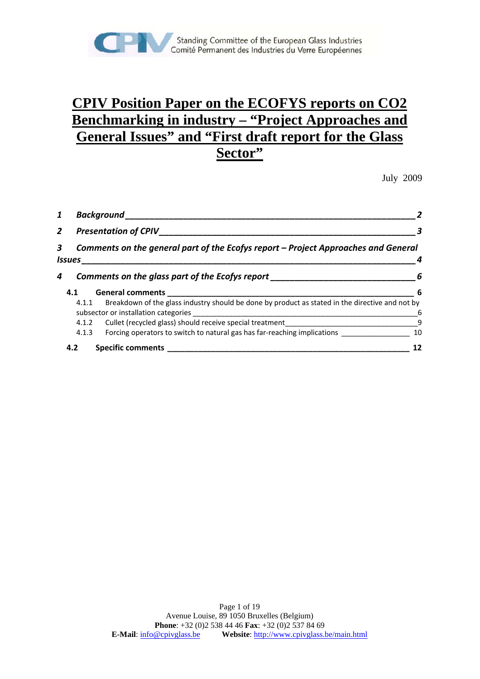

## **CPIV Position Paper on the ECOFYS reports on CO2 Benchmarking in industry – "Project Approaches and General Issues" and "First draft report for the Glass Sector"**

July 2009

| 1              | <b>Background</b>                               |                                                                                                                                                                                                       |     |  |  |
|----------------|-------------------------------------------------|-------------------------------------------------------------------------------------------------------------------------------------------------------------------------------------------------------|-----|--|--|
| $\overline{2}$ | <b>Presentation of CPIV</b>                     |                                                                                                                                                                                                       |     |  |  |
| 3              | Issues                                          | Comments on the general part of the Ecofys report – Project Approaches and General                                                                                                                    |     |  |  |
| 4              | Comments on the glass part of the Ecofys report |                                                                                                                                                                                                       | - 6 |  |  |
|                | 4.1                                             | <b>General comments</b>                                                                                                                                                                               | -6  |  |  |
|                | 4.1.1                                           | Breakdown of the glass industry should be done by product as stated in the directive and not by<br>subsector or installation categories<br><u> 1980 - John Stone, Amerikaansk politiker (</u> † 1920) | 6   |  |  |
|                | 4.1.2                                           | Cullet (recycled glass) should receive special treatment_________________________                                                                                                                     | 9   |  |  |
|                | 4.1.3                                           | Forcing operators to switch to natural gas has far-reaching implications                                                                                                                              | 10  |  |  |
|                | 4.2                                             | <b>Specific comments</b>                                                                                                                                                                              | 12  |  |  |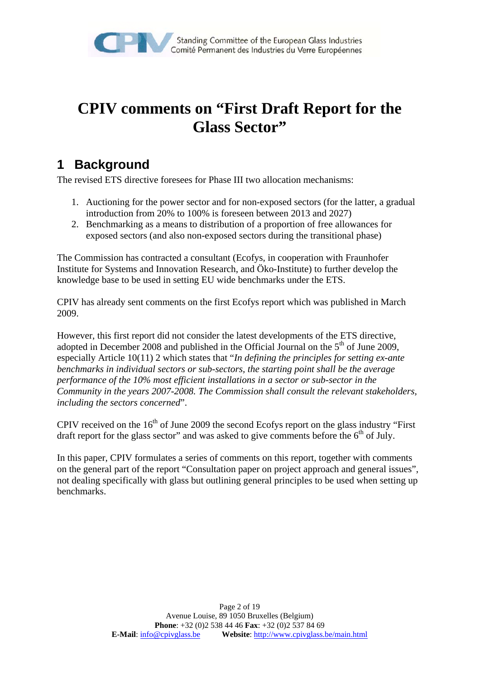

# **CPIV comments on "First Draft Report for the Glass Sector"**

## **1 Background**

The revised ETS directive foresees for Phase III two allocation mechanisms:

- 1. Auctioning for the power sector and for non-exposed sectors (for the latter, a gradual introduction from 20% to 100% is foreseen between 2013 and 2027)
- 2. Benchmarking as a means to distribution of a proportion of free allowances for exposed sectors (and also non-exposed sectors during the transitional phase)

The Commission has contracted a consultant (Ecofys, in cooperation with Fraunhofer Institute for Systems and Innovation Research, and Öko-Institute) to further develop the knowledge base to be used in setting EU wide benchmarks under the ETS.

CPIV has already sent comments on the first Ecofys report which was published in March 2009.

However, this first report did not consider the latest developments of the ETS directive, adopted in December 2008 and published in the Official Journal on the  $5<sup>th</sup>$  of June 2009. especially Article 10(11) 2 which states that "*In defining the principles for setting ex-ante benchmarks in individual sectors or sub-sectors, the starting point shall be the average performance of the 10% most efficient installations in a sector or sub-sector in the Community in the years 2007-2008. The Commission shall consult the relevant stakeholders, including the sectors concerned*".

CPIV received on the  $16<sup>th</sup>$  of June 2009 the second Ecofys report on the glass industry "First" draft report for the glass sector" and was asked to give comments before the  $6<sup>th</sup>$  of July.

In this paper, CPIV formulates a series of comments on this report, together with comments on the general part of the report "Consultation paper on project approach and general issues", not dealing specifically with glass but outlining general principles to be used when setting up benchmarks.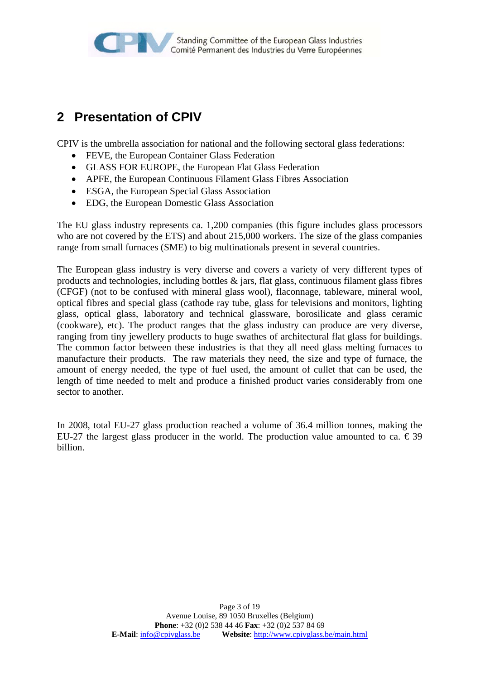

## **2 Presentation of CPIV**

CPIV is the umbrella association for national and the following sectoral glass federations:

- FEVE, the European Container Glass Federation
- GLASS FOR EUROPE, the European Flat Glass Federation
- APFE, the European Continuous Filament Glass Fibres Association
- ESGA, the European Special Glass Association
- EDG, the European Domestic Glass Association

The EU glass industry represents ca. 1,200 companies (this figure includes glass processors who are not covered by the ETS) and about 215,000 workers. The size of the glass companies range from small furnaces (SME) to big multinationals present in several countries.

The European glass industry is very diverse and covers a variety of very different types of products and technologies, including bottles  $\&$  jars, flat glass, continuous filament glass fibres (CFGF) (not to be confused with mineral glass wool), flaconnage, tableware, mineral wool, optical fibres and special glass (cathode ray tube, glass for televisions and monitors, lighting glass, optical glass, laboratory and technical glassware, borosilicate and glass ceramic (cookware), etc). The product ranges that the glass industry can produce are very diverse, ranging from tiny jewellery products to huge swathes of architectural flat glass for buildings. The common factor between these industries is that they all need glass melting furnaces to manufacture their products. The raw materials they need, the size and type of furnace, the amount of energy needed, the type of fuel used, the amount of cullet that can be used, the length of time needed to melt and produce a finished product varies considerably from one sector to another.

In 2008, total EU-27 glass production reached a volume of 36.4 million tonnes, making the EU-27 the largest glass producer in the world. The production value amounted to ca.  $\epsilon$ 39 billion.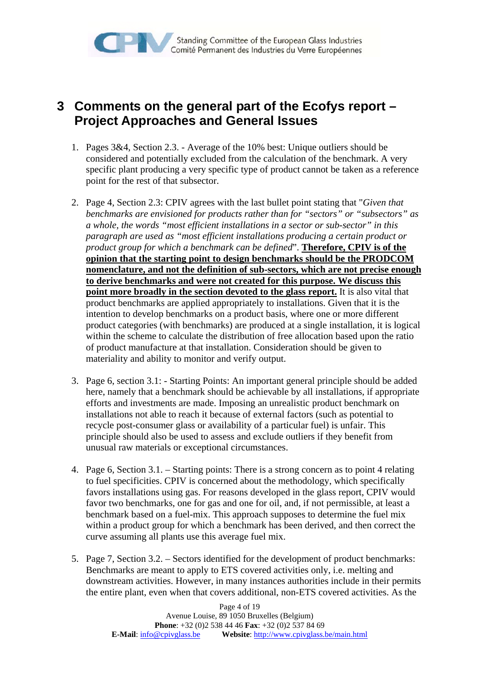

### **3 Comments on the general part of the Ecofys report – Project Approaches and General Issues**

- 1. Pages 3&4, Section 2.3. Average of the 10% best: Unique outliers should be considered and potentially excluded from the calculation of the benchmark. A very specific plant producing a very specific type of product cannot be taken as a reference point for the rest of that subsector.
- 2. Page 4, Section 2.3: CPIV agrees with the last bullet point stating that "*Given that benchmarks are envisioned for products rather than for "sectors" or "subsectors" as a whole, the words "most efficient installations in a sector or sub-sector" in this paragraph are used as "most efficient installations producing a certain product or product group for which a benchmark can be defined*". **Therefore, CPIV is of the opinion that the starting point to design benchmarks should be the PRODCOM nomenclature, and not the definition of sub-sectors, which are not precise enough to derive benchmarks and were not created for this purpose. We discuss this point more broadly in the section devoted to the glass report.** It is also vital that product benchmarks are applied appropriately to installations. Given that it is the intention to develop benchmarks on a product basis, where one or more different product categories (with benchmarks) are produced at a single installation, it is logical within the scheme to calculate the distribution of free allocation based upon the ratio of product manufacture at that installation. Consideration should be given to materiality and ability to monitor and verify output.
- 3. Page 6, section 3.1: Starting Points: An important general principle should be added here, namely that a benchmark should be achievable by all installations, if appropriate efforts and investments are made. Imposing an unrealistic product benchmark on installations not able to reach it because of external factors (such as potential to recycle post-consumer glass or availability of a particular fuel) is unfair. This principle should also be used to assess and exclude outliers if they benefit from unusual raw materials or exceptional circumstances.
- 4. Page 6, Section 3.1. Starting points: There is a strong concern as to point 4 relating to fuel specificities. CPIV is concerned about the methodology, which specifically favors installations using gas. For reasons developed in the glass report, CPIV would favor two benchmarks, one for gas and one for oil, and, if not permissible, at least a benchmark based on a fuel-mix. This approach supposes to determine the fuel mix within a product group for which a benchmark has been derived, and then correct the curve assuming all plants use this average fuel mix.
- 5. Page 7, Section 3.2. Sectors identified for the development of product benchmarks: Benchmarks are meant to apply to ETS covered activities only, i.e. melting and downstream activities. However, in many instances authorities include in their permits the entire plant, even when that covers additional, non-ETS covered activities. As the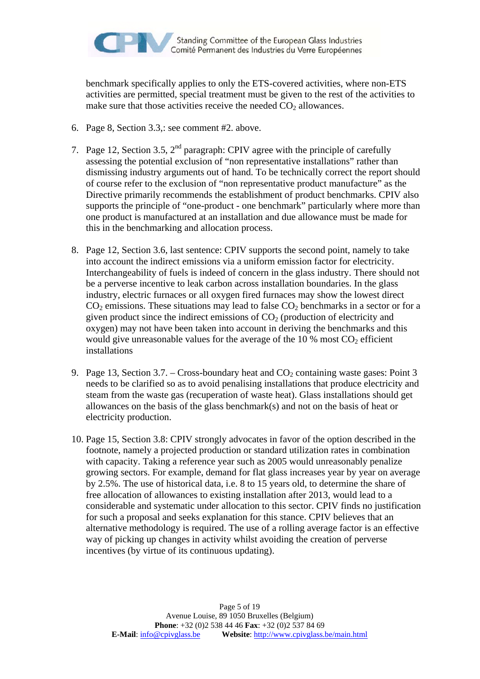

benchmark specifically applies to only the ETS-covered activities, where non-ETS activities are permitted, special treatment must be given to the rest of the activities to make sure that those activities receive the needed  $CO<sub>2</sub>$  allowances.

- 6. Page 8, Section 3.3,: see comment #2. above.
- 7. Page 12, Section 3.5,  $2<sup>nd</sup>$  paragraph: CPIV agree with the principle of carefully assessing the potential exclusion of "non representative installations" rather than dismissing industry arguments out of hand. To be technically correct the report should of course refer to the exclusion of "non representative product manufacture" as the Directive primarily recommends the establishment of product benchmarks. CPIV also supports the principle of "one-product - one benchmark" particularly where more than one product is manufactured at an installation and due allowance must be made for this in the benchmarking and allocation process.
- 8. Page 12, Section 3.6, last sentence: CPIV supports the second point, namely to take into account the indirect emissions via a uniform emission factor for electricity. Interchangeability of fuels is indeed of concern in the glass industry. There should not be a perverse incentive to leak carbon across installation boundaries. In the glass industry, electric furnaces or all oxygen fired furnaces may show the lowest direct  $CO<sub>2</sub>$  emissions. These situations may lead to false  $CO<sub>2</sub>$  benchmarks in a sector or for a given product since the indirect emissions of  $CO<sub>2</sub>$  (production of electricity and oxygen) may not have been taken into account in deriving the benchmarks and this would give unreasonable values for the average of the  $10\%$  most  $CO<sub>2</sub>$  efficient installations
- 9. Page 13, Section 3.7. Cross-boundary heat and  $CO_2$  containing waste gases: Point 3 needs to be clarified so as to avoid penalising installations that produce electricity and steam from the waste gas (recuperation of waste heat). Glass installations should get allowances on the basis of the glass benchmark(s) and not on the basis of heat or electricity production.
- 10. Page 15, Section 3.8: CPIV strongly advocates in favor of the option described in the footnote, namely a projected production or standard utilization rates in combination with capacity. Taking a reference year such as 2005 would unreasonably penalize growing sectors. For example, demand for flat glass increases year by year on average by 2.5%. The use of historical data, i.e. 8 to 15 years old, to determine the share of free allocation of allowances to existing installation after 2013, would lead to a considerable and systematic under allocation to this sector. CPIV finds no justification for such a proposal and seeks explanation for this stance. CPIV believes that an alternative methodology is required. The use of a rolling average factor is an effective way of picking up changes in activity whilst avoiding the creation of perverse incentives (by virtue of its continuous updating).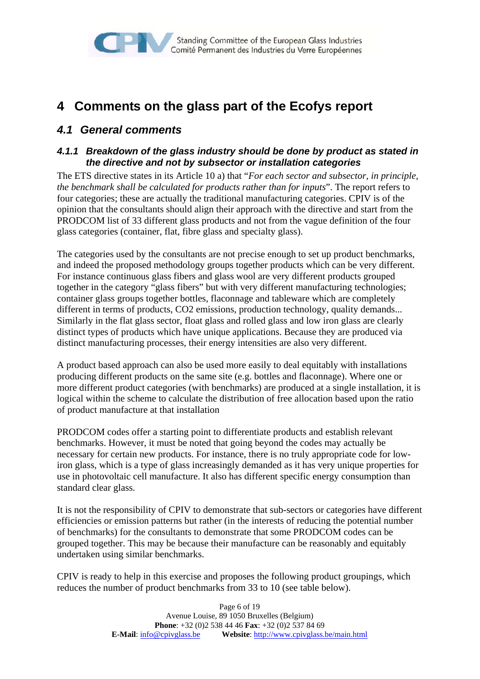

### **4 Comments on the glass part of the Ecofys report**

### *4.1 General comments*

#### *4.1.1 Breakdown of the glass industry should be done by product as stated in the directive and not by subsector or installation categories*

The ETS directive states in its Article 10 a) that "*For each sector and subsector, in principle, the benchmark shall be calculated for products rather than for inputs*". The report refers to four categories; these are actually the traditional manufacturing categories. CPIV is of the opinion that the consultants should align their approach with the directive and start from the PRODCOM list of 33 different glass products and not from the vague definition of the four glass categories (container, flat, fibre glass and specialty glass).

The categories used by the consultants are not precise enough to set up product benchmarks, and indeed the proposed methodology groups together products which can be very different. For instance continuous glass fibers and glass wool are very different products grouped together in the category "glass fibers" but with very different manufacturing technologies; container glass groups together bottles, flaconnage and tableware which are completely different in terms of products, CO2 emissions, production technology, quality demands... Similarly in the flat glass sector, float glass and rolled glass and low iron glass are clearly distinct types of products which have unique applications. Because they are produced via distinct manufacturing processes, their energy intensities are also very different.

A product based approach can also be used more easily to deal equitably with installations producing different products on the same site (e.g. bottles and flaconnage). Where one or more different product categories (with benchmarks) are produced at a single installation, it is logical within the scheme to calculate the distribution of free allocation based upon the ratio of product manufacture at that installation

PRODCOM codes offer a starting point to differentiate products and establish relevant benchmarks. However, it must be noted that going beyond the codes may actually be necessary for certain new products. For instance, there is no truly appropriate code for lowiron glass, which is a type of glass increasingly demanded as it has very unique properties for use in photovoltaic cell manufacture. It also has different specific energy consumption than standard clear glass.

It is not the responsibility of CPIV to demonstrate that sub-sectors or categories have different efficiencies or emission patterns but rather (in the interests of reducing the potential number of benchmarks) for the consultants to demonstrate that some PRODCOM codes can be grouped together. This may be because their manufacture can be reasonably and equitably undertaken using similar benchmarks.

CPIV is ready to help in this exercise and proposes the following product groupings, which reduces the number of product benchmarks from 33 to 10 (see table below).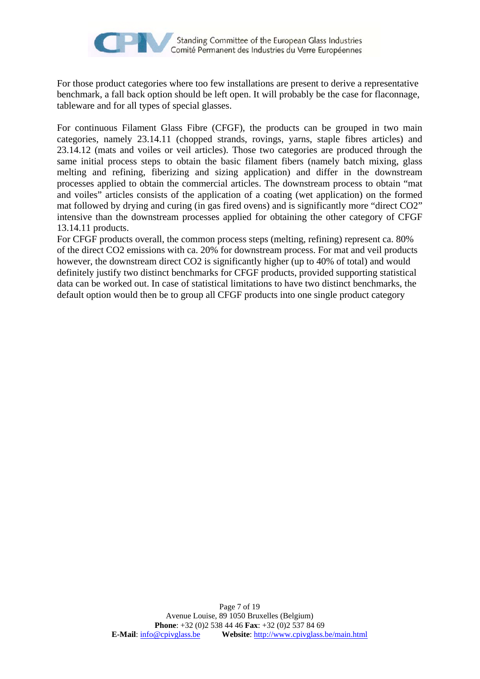

For those product categories where too few installations are present to derive a representative benchmark, a fall back option should be left open. It will probably be the case for flaconnage, tableware and for all types of special glasses.

For continuous Filament Glass Fibre (CFGF), the products can be grouped in two main categories, namely 23.14.11 (chopped strands, rovings, yarns, staple fibres articles) and 23.14.12 (mats and voiles or veil articles). Those two categories are produced through the same initial process steps to obtain the basic filament fibers (namely batch mixing, glass melting and refining, fiberizing and sizing application) and differ in the downstream processes applied to obtain the commercial articles. The downstream process to obtain "mat and voiles" articles consists of the application of a coating (wet application) on the formed mat followed by drying and curing (in gas fired ovens) and is significantly more "direct CO2" intensive than the downstream processes applied for obtaining the other category of CFGF 13.14.11 products.

For CFGF products overall, the common process steps (melting, refining) represent ca. 80% of the direct CO2 emissions with ca. 20% for downstream process. For mat and veil products however, the downstream direct CO2 is significantly higher (up to 40% of total) and would definitely justify two distinct benchmarks for CFGF products, provided supporting statistical data can be worked out. In case of statistical limitations to have two distinct benchmarks, the default option would then be to group all CFGF products into one single product category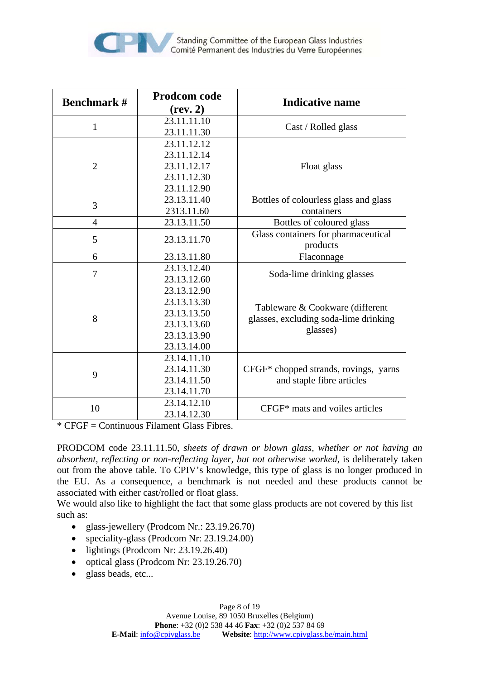

| <b>Benchmark #</b> | Prodcom code<br>(rev. 2)                                                               | <b>Indicative name</b>                                                               |
|--------------------|----------------------------------------------------------------------------------------|--------------------------------------------------------------------------------------|
| $\mathbf{1}$       | 23.11.11.10<br>23.11.11.30                                                             | Cast / Rolled glass                                                                  |
| $\overline{2}$     | 23.11.12.12<br>23.11.12.14<br>23.11.12.17<br>23.11.12.30<br>23.11.12.90                | Float glass                                                                          |
| 3                  | 23.13.11.40<br>2313.11.60                                                              | Bottles of colourless glass and glass<br>containers                                  |
| 4                  | 23.13.11.50                                                                            | Bottles of coloured glass                                                            |
| 5                  | 23.13.11.70                                                                            | Glass containers for pharmaceutical<br>products                                      |
| 6                  | 23.13.11.80                                                                            | Flaconnage                                                                           |
| $\overline{7}$     | 23.13.12.40<br>23.13.12.60                                                             | Soda-lime drinking glasses                                                           |
| 8                  | 23.13.12.90<br>23.13.13.30<br>23.13.13.50<br>23.13.13.60<br>23.13.13.90<br>23.13.14.00 | Tableware & Cookware (different<br>glasses, excluding soda-lime drinking<br>glasses) |
| 9                  | 23.14.11.10<br>23.14.11.30<br>23.14.11.50<br>23.14.11.70                               | CFGF* chopped strands, rovings, yarns<br>and staple fibre articles                   |
| 10                 | 23.14.12.10<br>23.14.12.30                                                             | CFGF* mats and voiles articles                                                       |

 $*$  CFGF = Continuous Filament Glass Fibres.

PRODCOM code 23.11.11.50, *sheets of drawn or blown glass, whether or not having an absorbent, reflecting or non-reflecting layer, but not otherwise worked*, is deliberately taken out from the above table. To CPIV's knowledge, this type of glass is no longer produced in the EU. As a consequence, a benchmark is not needed and these products cannot be associated with either cast/rolled or float glass.

We would also like to highlight the fact that some glass products are not covered by this list such as:

- glass-jewellery (Prodcom Nr.: 23.19.26.70)
- speciality-glass (Prodcom Nr: 23.19.24.00)
- lightings (Prodcom Nr: 23.19.26.40)
- optical glass (Prodcom Nr: 23.19.26.70)
- glass beads, etc...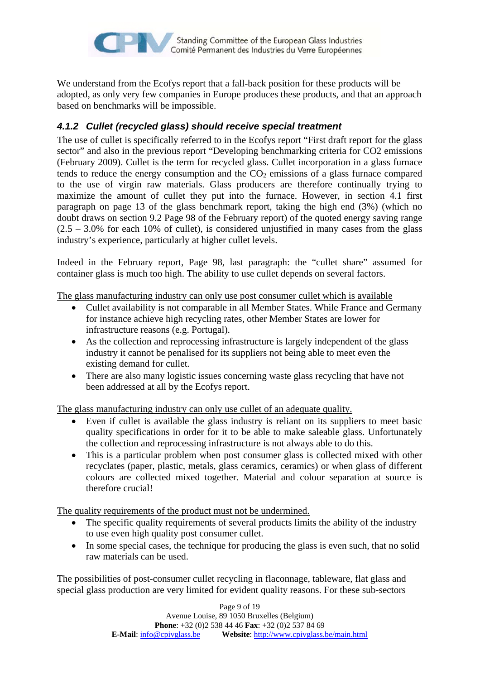

We understand from the Ecofys report that a fall-back position for these products will be adopted, as only very few companies in Europe produces these products, and that an approach based on benchmarks will be impossible.

#### *4.1.2 Cullet (recycled glass) should receive special treatment*

The use of cullet is specifically referred to in the Ecofys report "First draft report for the glass sector" and also in the previous report "Developing benchmarking criteria for CO2 emissions (February 2009). Cullet is the term for recycled glass. Cullet incorporation in a glass furnace tends to reduce the energy consumption and the  $CO<sub>2</sub>$  emissions of a glass furnace compared to the use of virgin raw materials. Glass producers are therefore continually trying to maximize the amount of cullet they put into the furnace. However, in section 4.1 first paragraph on page 13 of the glass benchmark report, taking the high end (3%) (which no doubt draws on section 9.2 Page 98 of the February report) of the quoted energy saving range  $(2.5 - 3.0\%$  for each 10% of cullet), is considered unjustified in many cases from the glass industry's experience, particularly at higher cullet levels.

Indeed in the February report, Page 98, last paragraph: the "cullet share" assumed for container glass is much too high. The ability to use cullet depends on several factors.

The glass manufacturing industry can only use post consumer cullet which is available

- Cullet availability is not comparable in all Member States. While France and Germany for instance achieve high recycling rates, other Member States are lower for infrastructure reasons (e.g. Portugal).
- As the collection and reprocessing infrastructure is largely independent of the glass industry it cannot be penalised for its suppliers not being able to meet even the existing demand for cullet.
- There are also many logistic issues concerning waste glass recycling that have not been addressed at all by the Ecofys report.

The glass manufacturing industry can only use cullet of an adequate quality.

- Even if cullet is available the glass industry is reliant on its suppliers to meet basic quality specifications in order for it to be able to make saleable glass. Unfortunately the collection and reprocessing infrastructure is not always able to do this.
- This is a particular problem when post consumer glass is collected mixed with other recyclates (paper, plastic, metals, glass ceramics, ceramics) or when glass of different colours are collected mixed together. Material and colour separation at source is therefore crucial!

The quality requirements of the product must not be undermined.

- The specific quality requirements of several products limits the ability of the industry to use even high quality post consumer cullet.
- In some special cases, the technique for producing the glass is even such, that no solid raw materials can be used.

The possibilities of post-consumer cullet recycling in flaconnage, tableware, flat glass and special glass production are very limited for evident quality reasons. For these sub-sectors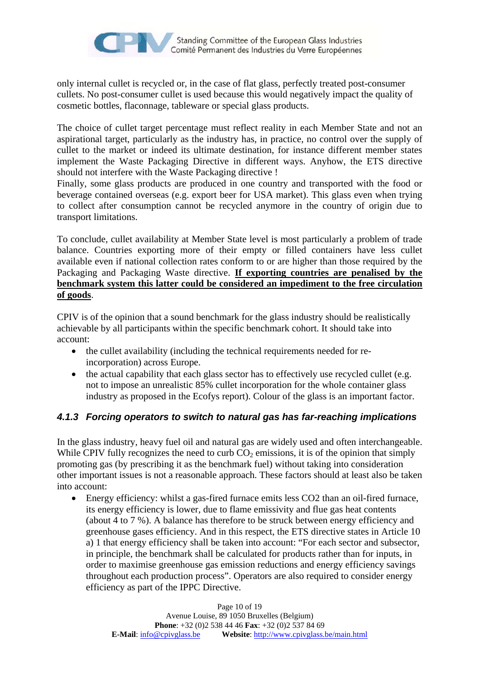

only internal cullet is recycled or, in the case of flat glass, perfectly treated post-consumer cullets. No post-consumer cullet is used because this would negatively impact the quality of cosmetic bottles, flaconnage, tableware or special glass products.

The choice of cullet target percentage must reflect reality in each Member State and not an aspirational target, particularly as the industry has, in practice, no control over the supply of cullet to the market or indeed its ultimate destination, for instance different member states implement the Waste Packaging Directive in different ways. Anyhow, the ETS directive should not interfere with the Waste Packaging directive !

Finally, some glass products are produced in one country and transported with the food or beverage contained overseas (e.g. export beer for USA market). This glass even when trying to collect after consumption cannot be recycled anymore in the country of origin due to transport limitations.

To conclude, cullet availability at Member State level is most particularly a problem of trade balance. Countries exporting more of their empty or filled containers have less cullet available even if national collection rates conform to or are higher than those required by the Packaging and Packaging Waste directive. **If exporting countries are penalised by the benchmark system this latter could be considered an impediment to the free circulation of goods**.

CPIV is of the opinion that a sound benchmark for the glass industry should be realistically achievable by all participants within the specific benchmark cohort. It should take into account:

- the cullet availability (including the technical requirements needed for reincorporation) across Europe.
- the actual capability that each glass sector has to effectively use recycled cullet (e.g. not to impose an unrealistic 85% cullet incorporation for the whole container glass industry as proposed in the Ecofys report). Colour of the glass is an important factor.

#### *4.1.3 Forcing operators to switch to natural gas has far-reaching implications*

In the glass industry, heavy fuel oil and natural gas are widely used and often interchangeable. While CPIV fully recognizes the need to curb  $CO<sub>2</sub>$  emissions, it is of the opinion that simply promoting gas (by prescribing it as the benchmark fuel) without taking into consideration other important issues is not a reasonable approach. These factors should at least also be taken into account:

• Energy efficiency: whilst a gas-fired furnace emits less CO2 than an oil-fired furnace, its energy efficiency is lower, due to flame emissivity and flue gas heat contents (about 4 to 7 %). A balance has therefore to be struck between energy efficiency and greenhouse gases efficiency. And in this respect, the ETS directive states in Article 10 a) 1 that energy efficiency shall be taken into account: "For each sector and subsector, in principle, the benchmark shall be calculated for products rather than for inputs, in order to maximise greenhouse gas emission reductions and energy efficiency savings throughout each production process". Operators are also required to consider energy efficiency as part of the IPPC Directive.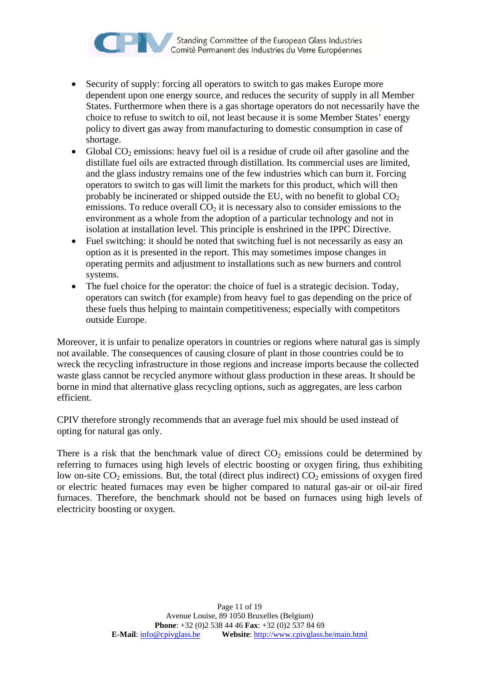

- Security of supply: forcing all operators to switch to gas makes Europe more dependent upon one energy source, and reduces the security of supply in all Member States. Furthermore when there is a gas shortage operators do not necessarily have the choice to refuse to switch to oil, not least because it is some Member States' energy policy to divert gas away from manufacturing to domestic consumption in case of shortage.
- Global  $CO<sub>2</sub>$  emissions: heavy fuel oil is a residue of crude oil after gasoline and the distillate fuel oils are extracted through distillation. Its commercial uses are limited, and the glass industry remains one of the few industries which can burn it. Forcing operators to switch to gas will limit the markets for this product, which will then probably be incinerated or shipped outside the EU, with no benefit to global  $CO<sub>2</sub>$ emissions. To reduce overall  $CO<sub>2</sub>$  it is necessary also to consider emissions to the environment as a whole from the adoption of a particular technology and not in isolation at installation level. This principle is enshrined in the IPPC Directive.
- Fuel switching: it should be noted that switching fuel is not necessarily as easy an option as it is presented in the report. This may sometimes impose changes in operating permits and adjustment to installations such as new burners and control systems.
- The fuel choice for the operator: the choice of fuel is a strategic decision. Today, operators can switch (for example) from heavy fuel to gas depending on the price of these fuels thus helping to maintain competitiveness; especially with competitors outside Europe.

Moreover, it is unfair to penalize operators in countries or regions where natural gas is simply not available. The consequences of causing closure of plant in those countries could be to wreck the recycling infrastructure in those regions and increase imports because the collected waste glass cannot be recycled anymore without glass production in these areas. It should be borne in mind that alternative glass recycling options, such as aggregates, are less carbon efficient.

CPIV therefore strongly recommends that an average fuel mix should be used instead of opting for natural gas only.

There is a risk that the benchmark value of direct  $CO<sub>2</sub>$  emissions could be determined by referring to furnaces using high levels of electric boosting or oxygen firing, thus exhibiting low on-site  $CO_2$  emissions. But, the total (direct plus indirect)  $CO_2$  emissions of oxygen fired or electric heated furnaces may even be higher compared to natural gas-air or oil-air fired furnaces. Therefore, the benchmark should not be based on furnaces using high levels of electricity boosting or oxygen.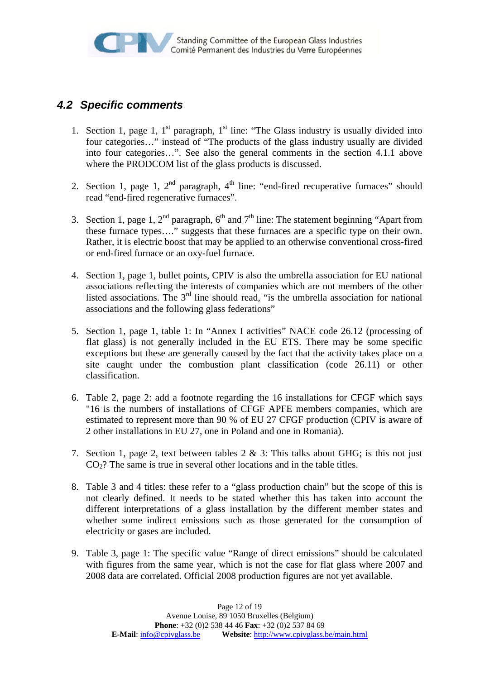### *4.2 Specific comments*

- 1. Section 1, page 1,  $1<sup>st</sup>$  paragraph,  $1<sup>st</sup>$  line: "The Glass industry is usually divided into four categories…" instead of "The products of the glass industry usually are divided into four categories…". See also the general comments in the section 4.1.1 above where the PRODCOM list of the glass products is discussed.
- 2. Section 1, page 1,  $2<sup>nd</sup>$  paragraph,  $4<sup>th</sup>$  line: "end-fired recuperative furnaces" should read "end-fired regenerative furnaces".
- 3. Section 1, page 1,  $2<sup>nd</sup>$  paragraph,  $6<sup>th</sup>$  and  $7<sup>th</sup>$  line: The statement beginning "Apart from these furnace types…." suggests that these furnaces are a specific type on their own. Rather, it is electric boost that may be applied to an otherwise conventional cross-fired or end-fired furnace or an oxy-fuel furnace.
- 4. Section 1, page 1, bullet points, CPIV is also the umbrella association for EU national associations reflecting the interests of companies which are not members of the other listed associations. The  $3<sup>rd</sup>$  line should read, "is the umbrella association for national associations and the following glass federations"
- 5. Section 1, page 1, table 1: In "Annex I activities" NACE code 26.12 (processing of flat glass) is not generally included in the EU ETS. There may be some specific exceptions but these are generally caused by the fact that the activity takes place on a site caught under the combustion plant classification (code 26.11) or other classification.
- 6. Table 2, page 2: add a footnote regarding the 16 installations for CFGF which says "16 is the numbers of installations of CFGF APFE members companies, which are estimated to represent more than 90 % of EU 27 CFGF production (CPIV is aware of 2 other installations in EU 27, one in Poland and one in Romania).
- 7. Section 1, page 2, text between tables 2 & 3: This talks about GHG; is this not just  $CO<sub>2</sub>$ ? The same is true in several other locations and in the table titles.
- 8. Table 3 and 4 titles: these refer to a "glass production chain" but the scope of this is not clearly defined. It needs to be stated whether this has taken into account the different interpretations of a glass installation by the different member states and whether some indirect emissions such as those generated for the consumption of electricity or gases are included.
- 9. Table 3, page 1: The specific value "Range of direct emissions" should be calculated with figures from the same year, which is not the case for flat glass where 2007 and 2008 data are correlated. Official 2008 production figures are not yet available.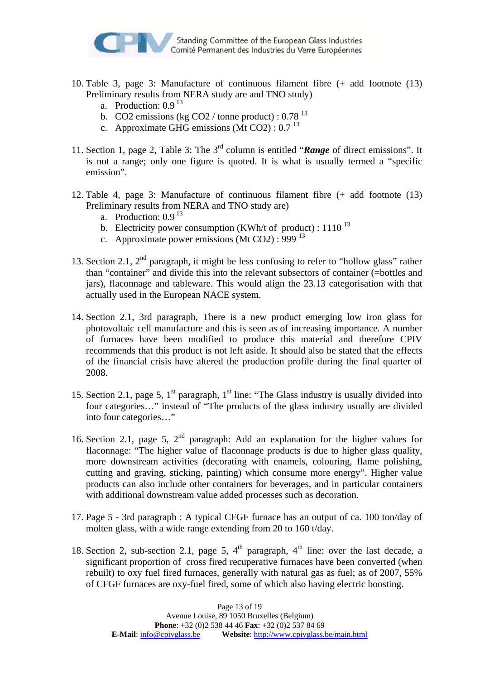

- 10. Table 3, page 3: Manufacture of continuous filament fibre (+ add footnote (13) Preliminary results from NERA study are and TNO study)
	- a. Production:  $0.9<sup>13</sup>$
	- b. CO2 emissions (kg CO2 / tonne product) :  $0.78<sup>13</sup>$
	- c. Approximate GHG emissions (Mt CO2) :  $0.7<sup>13</sup>$
- 11. Section 1, page 2, Table 3: The 3rd column is entitled "*Range* of direct emissions". It is not a range; only one figure is quoted. It is what is usually termed a "specific emission".
- 12. Table 4, page 3: Manufacture of continuous filament fibre (+ add footnote (13) Preliminary results from NERA and TNO study are)
	- a. Production:  $0.9<sup>13</sup>$
	- b. Electricity power consumption (KWh/t of product) :  $1110^{13}$
	- c. Approximate power emissions (Mt CO2) : 999  $^{13}$
- 13. Section 2.1,  $2<sup>nd</sup>$  paragraph, it might be less confusing to refer to "hollow glass" rather than "container" and divide this into the relevant subsectors of container (=bottles and jars), flaconnage and tableware. This would align the 23.13 categorisation with that actually used in the European NACE system.
- 14. Section 2.1, 3rd paragraph, There is a new product emerging low iron glass for photovoltaic cell manufacture and this is seen as of increasing importance. A number of furnaces have been modified to produce this material and therefore CPIV recommends that this product is not left aside. It should also be stated that the effects of the financial crisis have altered the production profile during the final quarter of 2008.
- 15. Section 2.1, page 5,  $1<sup>st</sup>$  paragraph,  $1<sup>st</sup>$  line: "The Glass industry is usually divided into four categories…" instead of "The products of the glass industry usually are divided into four categories…"
- 16. Section 2.1, page 5,  $2<sup>nd</sup>$  paragraph: Add an explanation for the higher values for flaconnage: "The higher value of flaconnage products is due to higher glass quality, more downstream activities (decorating with enamels, colouring, flame polishing, cutting and graving, sticking, painting) which consume more energy". Higher value products can also include other containers for beverages, and in particular containers with additional downstream value added processes such as decoration.
- 17. Page 5 3rd paragraph : A typical CFGF furnace has an output of ca. 100 ton/day of molten glass, with a wide range extending from 20 to 160 t/day.
- 18. Section 2, sub-section 2.1, page 5,  $4<sup>th</sup>$  paragraph,  $4<sup>th</sup>$  line: over the last decade, a significant proportion of cross fired recuperative furnaces have been converted (when rebuilt) to oxy fuel fired furnaces, generally with natural gas as fuel; as of 2007, 55% of CFGF furnaces are oxy-fuel fired, some of which also having electric boosting.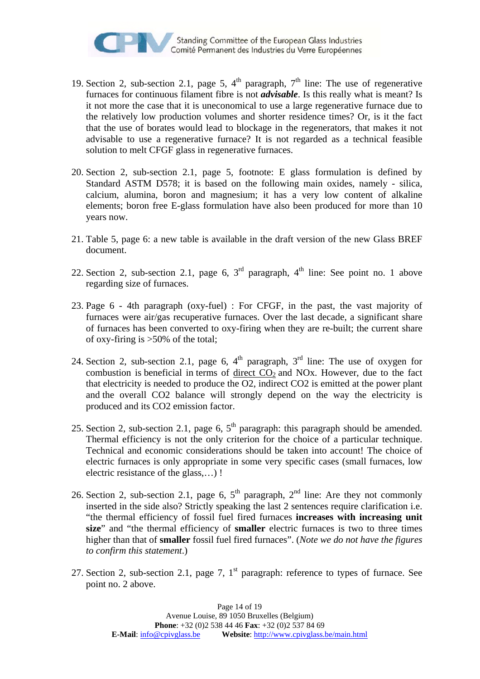

- 19. Section 2, sub-section 2.1, page 5,  $4<sup>th</sup>$  paragraph,  $7<sup>th</sup>$  line: The use of regenerative furnaces for continuous filament fibre is not *advisable*. Is this really what is meant? Is it not more the case that it is uneconomical to use a large regenerative furnace due to the relatively low production volumes and shorter residence times? Or, is it the fact that the use of borates would lead to blockage in the regenerators, that makes it not advisable to use a regenerative furnace? It is not regarded as a technical feasible solution to melt CFGF glass in regenerative furnaces.
- 20. Section 2, sub-section 2.1, page 5, footnote: E glass formulation is defined by Standard ASTM D578; it is based on the following main oxides, namely - silica, calcium, alumina, boron and magnesium; it has a very low content of alkaline elements; boron free E-glass formulation have also been produced for more than 10 years now.
- 21. Table 5, page 6: a new table is available in the draft version of the new Glass BREF document.
- 22. Section 2, sub-section 2.1, page 6,  $3<sup>rd</sup>$  paragraph,  $4<sup>th</sup>$  line: See point no. 1 above regarding size of furnaces.
- 23. Page 6 4th paragraph (oxy-fuel) : For CFGF, in the past, the vast majority of furnaces were air/gas recuperative furnaces. Over the last decade, a significant share of furnaces has been converted to oxy-firing when they are re-built; the current share of oxy-firing is >50% of the total;
- 24. Section 2, sub-section 2.1, page 6,  $4<sup>th</sup>$  paragraph,  $3<sup>rd</sup>$  line: The use of oxygen for combustion is beneficial in terms of direct  $CO<sub>2</sub>$  and NOx. However, due to the fact that electricity is needed to produce the O2, indirect CO2 is emitted at the power plant and the overall CO2 balance will strongly depend on the way the electricity is produced and its CO2 emission factor.
- 25. Section 2, sub-section 2.1, page 6,  $5<sup>th</sup>$  paragraph: this paragraph should be amended. Thermal efficiency is not the only criterion for the choice of a particular technique. Technical and economic considerations should be taken into account! The choice of electric furnaces is only appropriate in some very specific cases (small furnaces, low electric resistance of the glass,…) !
- 26. Section 2, sub-section 2.1, page 6,  $5<sup>th</sup>$  paragraph,  $2<sup>nd</sup>$  line: Are they not commonly inserted in the side also? Strictly speaking the last 2 sentences require clarification i.e. "the thermal efficiency of fossil fuel fired furnaces **increases with increasing unit size**" and "the thermal efficiency of **smaller** electric furnaces is two to three times higher than that of **smaller** fossil fuel fired furnaces". (*Note we do not have the figures to confirm this statement*.)
- 27. Section 2, sub-section 2.1, page 7,  $1<sup>st</sup>$  paragraph: reference to types of furnace. See point no. 2 above.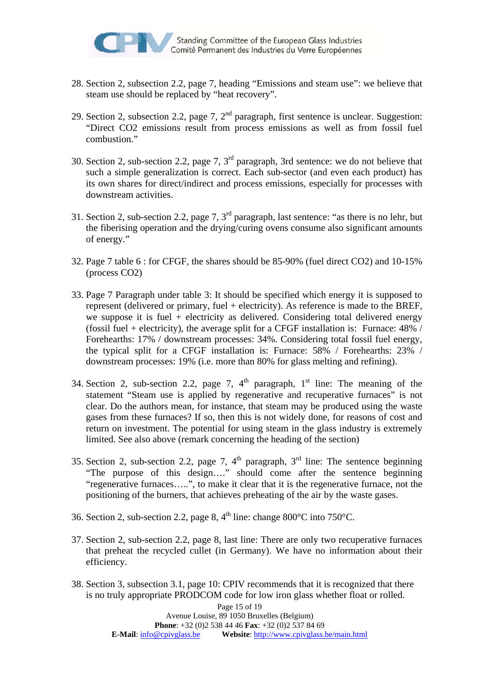

- 28. Section 2, subsection 2.2, page 7, heading "Emissions and steam use": we believe that steam use should be replaced by "heat recovery".
- 29. Section 2, subsection 2.2, page 7,  $2<sup>nd</sup>$  paragraph, first sentence is unclear. Suggestion: "Direct CO2 emissions result from process emissions as well as from fossil fuel combustion."
- 30. Section 2, sub-section 2.2, page 7, 3rd paragraph, 3rd sentence: we do not believe that such a simple generalization is correct. Each sub-sector (and even each product) has its own shares for direct/indirect and process emissions, especially for processes with downstream activities.
- 31. Section 2, sub-section 2.2, page 7,  $3<sup>rd</sup>$  paragraph, last sentence: "as there is no lehr, but the fiberising operation and the drying/curing ovens consume also significant amounts of energy."
- 32. Page 7 table 6 : for CFGF, the shares should be 85-90% (fuel direct CO2) and 10-15% (process CO2)
- 33. Page 7 Paragraph under table 3: It should be specified which energy it is supposed to represent (delivered or primary, fuel + electricity). As reference is made to the BREF, we suppose it is fuel  $+$  electricity as delivered. Considering total delivered energy (fossil fuel + electricity), the average split for a CFGF installation is: Furnace:  $48\%$  / Forehearths: 17% / downstream processes: 34%. Considering total fossil fuel energy, the typical split for a CFGF installation is: Furnace: 58% / Forehearths: 23% / downstream processes: 19% (i.e. more than 80% for glass melting and refining).
- 34. Section 2, sub-section 2.2, page 7,  $4<sup>th</sup>$  paragraph,  $1<sup>st</sup>$  line: The meaning of the statement "Steam use is applied by regenerative and recuperative furnaces" is not clear. Do the authors mean, for instance, that steam may be produced using the waste gases from these furnaces? If so, then this is not widely done, for reasons of cost and return on investment. The potential for using steam in the glass industry is extremely limited. See also above (remark concerning the heading of the section)
- 35. Section 2, sub-section 2.2, page 7,  $4<sup>th</sup>$  paragraph,  $3<sup>rd</sup>$  line: The sentence beginning "The purpose of this design…." should come after the sentence beginning "regenerative furnaces…..", to make it clear that it is the regenerative furnace, not the positioning of the burners, that achieves preheating of the air by the waste gases.
- 36. Section 2, sub-section 2.2, page 8,  $4^{\text{th}}$  line: change 800°C into 750°C.
- 37. Section 2, sub-section 2.2, page 8, last line: There are only two recuperative furnaces that preheat the recycled cullet (in Germany). We have no information about their efficiency.
- 38. Section 3, subsection 3.1, page 10: CPIV recommends that it is recognized that there is no truly appropriate PRODCOM code for low iron glass whether float or rolled.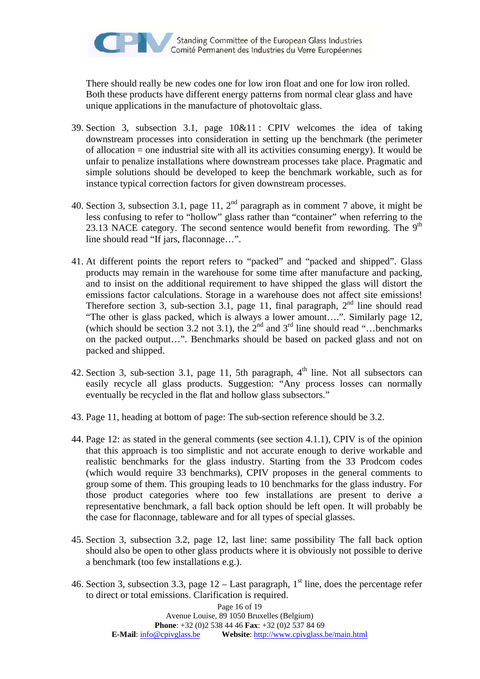There should really be new codes one for low iron float and one for low iron rolled. Both these products have different energy patterns from normal clear glass and have unique applications in the manufacture of photovoltaic glass.

- 39. Section 3, subsection 3.1, page 10&11 : CPIV welcomes the idea of taking downstream processes into consideration in setting up the benchmark (the perimeter of allocation = one industrial site with all its activities consuming energy). It would be unfair to penalize installations where downstream processes take place. Pragmatic and simple solutions should be developed to keep the benchmark workable, such as for instance typical correction factors for given downstream processes.
- 40. Section 3, subsection 3.1, page 11,  $2<sup>nd</sup>$  paragraph as in comment 7 above, it might be less confusing to refer to "hollow" glass rather than "container" when referring to the 23.13 NACE category. The second sentence would benefit from rewording. The  $9<sup>th</sup>$ line should read "If jars, flaconnage…".
- 41. At different points the report refers to "packed" and "packed and shipped". Glass products may remain in the warehouse for some time after manufacture and packing, and to insist on the additional requirement to have shipped the glass will distort the emissions factor calculations. Storage in a warehouse does not affect site emissions! Therefore section 3, sub-section 3.1, page 11, final paragraph,  $2<sup>nd</sup>$  line should read "The other is glass packed, which is always a lower amount….". Similarly page 12, (which should be section 3.2 not 3.1), the  $2^{nd}$  and  $3^{rd}$  line should read "...benchmarks" on the packed output…". Benchmarks should be based on packed glass and not on packed and shipped.
- 42. Section 3, sub-section 3.1, page 11, 5th paragraph,  $4<sup>th</sup>$  line. Not all subsectors can easily recycle all glass products. Suggestion: "Any process losses can normally eventually be recycled in the flat and hollow glass subsectors."
- 43. Page 11, heading at bottom of page: The sub-section reference should be 3.2.
- 44. Page 12: as stated in the general comments (see section 4.1.1), CPIV is of the opinion that this approach is too simplistic and not accurate enough to derive workable and realistic benchmarks for the glass industry. Starting from the 33 Prodcom codes (which would require 33 benchmarks), CPIV proposes in the general comments to group some of them. This grouping leads to 10 benchmarks for the glass industry. For those product categories where too few installations are present to derive a representative benchmark, a fall back option should be left open. It will probably be the case for flaconnage, tableware and for all types of special glasses.
- 45. Section 3, subsection 3.2, page 12, last line: same possibility The fall back option should also be open to other glass products where it is obviously not possible to derive a benchmark (too few installations e.g.).
- 46. Section 3, subsection 3.3, page  $12 -$  Last paragraph,  $1<sup>st</sup>$  line, does the percentage refer to direct or total emissions. Clarification is required.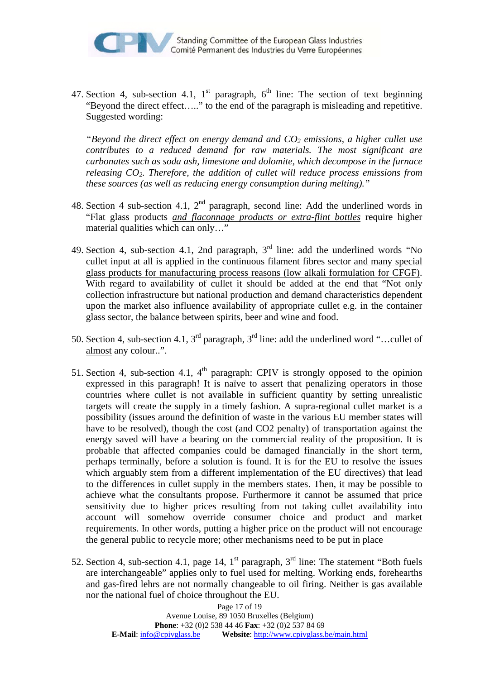

47. Section 4, sub-section 4.1,  $1<sup>st</sup>$  paragraph,  $6<sup>th</sup>$  line: The section of text beginning "Beyond the direct effect….." to the end of the paragraph is misleading and repetitive. Suggested wording:

*"Beyond the direct effect on energy demand and*  $CO<sub>2</sub>$  *emissions, a higher cullet use contributes to a reduced demand for raw materials. The most significant are carbonates such as soda ash, limestone and dolomite, which decompose in the furnace releasing CO2. Therefore, the addition of cullet will reduce process emissions from these sources (as well as reducing energy consumption during melting)."*

- 48. Section 4 sub-section 4.1,  $2<sup>nd</sup>$  paragraph, second line: Add the underlined words in "Flat glass products *and flaconnage products or extra-flint bottles* require higher material qualities which can only…"
- 49. Section 4, sub-section 4.1, 2nd paragraph,  $3<sup>rd</sup>$  line: add the underlined words "No cullet input at all is applied in the continuous filament fibres sector and many special glass products for manufacturing process reasons (low alkali formulation for CFGF). With regard to availability of cullet it should be added at the end that "Not only collection infrastructure but national production and demand characteristics dependent upon the market also influence availability of appropriate cullet e.g. in the container glass sector, the balance between spirits, beer and wine and food.
- 50. Section 4, sub-section 4.1,  $3^{rd}$  paragraph,  $3^{rd}$  line: add the underlined word "...cullet of almost any colour..".
- 51. Section 4, sub-section 4.1,  $4<sup>th</sup>$  paragraph: CPIV is strongly opposed to the opinion expressed in this paragraph! It is naïve to assert that penalizing operators in those countries where cullet is not available in sufficient quantity by setting unrealistic targets will create the supply in a timely fashion. A supra-regional cullet market is a possibility (issues around the definition of waste in the various EU member states will have to be resolved), though the cost (and CO2 penalty) of transportation against the energy saved will have a bearing on the commercial reality of the proposition. It is probable that affected companies could be damaged financially in the short term, perhaps terminally, before a solution is found. It is for the EU to resolve the issues which arguably stem from a different implementation of the EU directives) that lead to the differences in cullet supply in the members states. Then, it may be possible to achieve what the consultants propose. Furthermore it cannot be assumed that price sensitivity due to higher prices resulting from not taking cullet availability into account will somehow override consumer choice and product and market requirements. In other words, putting a higher price on the product will not encourage the general public to recycle more; other mechanisms need to be put in place
- 52. Section 4, sub-section 4.1, page 14,  $1<sup>st</sup>$  paragraph,  $3<sup>rd</sup>$  line: The statement "Both fuels are interchangeable" applies only to fuel used for melting. Working ends, forehearths and gas-fired lehrs are not normally changeable to oil firing. Neither is gas available nor the national fuel of choice throughout the EU.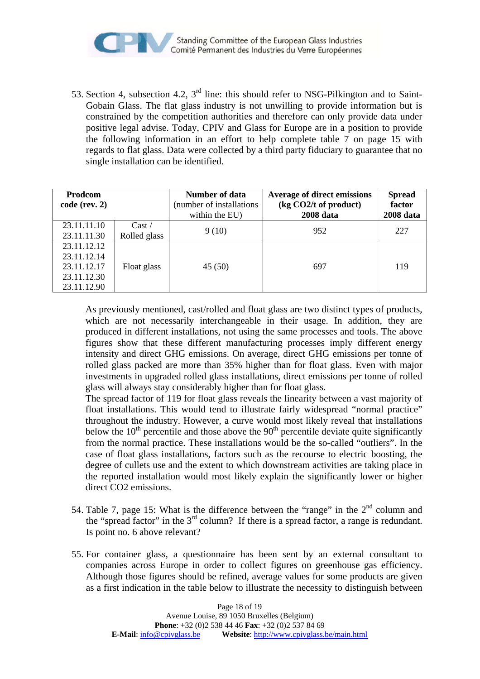

53. Section 4, subsection 4.2, 3rd line: this should refer to NSG-Pilkington and to Saint-Gobain Glass. The flat glass industry is not unwilling to provide information but is constrained by the competition authorities and therefore can only provide data under positive legal advise. Today, CPIV and Glass for Europe are in a position to provide the following information in an effort to help complete table 7 on page 15 with regards to flat glass. Data were collected by a third party fiduciary to guarantee that no single installation can be identified.

| <b>Prodcom</b><br>code (rev. 2)                                         |                                 | Number of data<br>(number of installations<br>within the EU) | <b>Average of direct emissions</b><br>(kg CO2/t of product)<br>2008 data | <b>Spread</b><br>factor<br><b>2008</b> data |
|-------------------------------------------------------------------------|---------------------------------|--------------------------------------------------------------|--------------------------------------------------------------------------|---------------------------------------------|
| 23.11.11.10<br>23.11.11.30                                              | $\text{Cast} /$<br>Rolled glass | 9(10)                                                        | 952                                                                      | 227                                         |
| 23.11.12.12<br>23.11.12.14<br>23.11.12.17<br>23.11.12.30<br>23.11.12.90 | Float glass                     | 45(50)                                                       | 697                                                                      | 119                                         |

As previously mentioned, cast/rolled and float glass are two distinct types of products, which are not necessarily interchangeable in their usage. In addition, they are produced in different installations, not using the same processes and tools. The above figures show that these different manufacturing processes imply different energy intensity and direct GHG emissions. On average, direct GHG emissions per tonne of rolled glass packed are more than 35% higher than for float glass. Even with major investments in upgraded rolled glass installations, direct emissions per tonne of rolled glass will always stay considerably higher than for float glass.

The spread factor of 119 for float glass reveals the linearity between a vast majority of float installations. This would tend to illustrate fairly widespread "normal practice" throughout the industry. However, a curve would most likely reveal that installations below the  $10<sup>th</sup>$  percentile and those above the  $90<sup>th</sup>$  percentile deviate quite significantly from the normal practice. These installations would be the so-called "outliers". In the case of float glass installations, factors such as the recourse to electric boosting, the degree of cullets use and the extent to which downstream activities are taking place in the reported installation would most likely explain the significantly lower or higher direct CO2 emissions.

- 54. Table 7, page 15: What is the difference between the "range" in the 2<sup>nd</sup> column and the "spread factor" in the  $3<sup>rd</sup>$  column? If there is a spread factor, a range is redundant. Is point no. 6 above relevant?
- 55. For container glass, a questionnaire has been sent by an external consultant to companies across Europe in order to collect figures on greenhouse gas efficiency. Although those figures should be refined, average values for some products are given as a first indication in the table below to illustrate the necessity to distinguish between